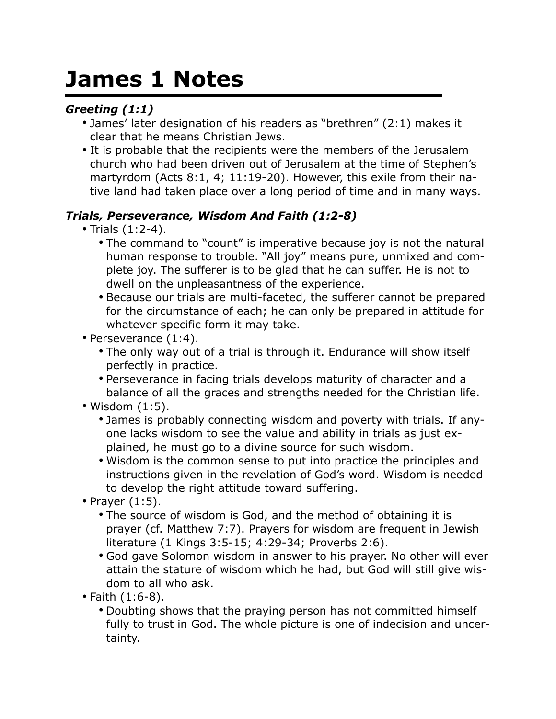# **James 1 Notes**

## *Greeting (1:1)*

- James' later designation of his readers as "brethren" (2:1) makes it clear that he means Christian Jews.
- It is probable that the recipients were the members of the Jerusalem church who had been driven out of Jerusalem at the time of Stephen's martyrdom (Acts 8:1, 4; 11:19-20). However, this exile from their native land had taken place over a long period of time and in many ways.

### *Trials, Perseverance, Wisdom And Faith (1:2-8)*

- Trials (1:2-4).
	- The command to "count" is imperative because joy is not the natural human response to trouble. "All joy" means pure, unmixed and complete joy. The sufferer is to be glad that he can suffer. He is not to dwell on the unpleasantness of the experience.
	- Because our trials are multi-faceted, the sufferer cannot be prepared for the circumstance of each; he can only be prepared in attitude for whatever specific form it may take.
- Perseverance (1:4).
	- The only way out of a trial is through it. Endurance will show itself perfectly in practice.
	- Perseverance in facing trials develops maturity of character and a balance of all the graces and strengths needed for the Christian life.
- Wisdom (1:5).
	- James is probably connecting wisdom and poverty with trials. If anyone lacks wisdom to see the value and ability in trials as just explained, he must go to a divine source for such wisdom.
	- Wisdom is the common sense to put into practice the principles and instructions given in the revelation of God's word. Wisdom is needed to develop the right attitude toward suffering.
- Prayer (1:5).
	- The source of wisdom is God, and the method of obtaining it is prayer (cf. Matthew 7:7). Prayers for wisdom are frequent in Jewish literature (1 Kings 3:5-15; 4:29-34; Proverbs 2:6).
	- God gave Solomon wisdom in answer to his prayer. No other will ever attain the stature of wisdom which he had, but God will still give wisdom to all who ask.
- Faith (1:6-8).
	- Doubting shows that the praying person has not committed himself fully to trust in God. The whole picture is one of indecision and uncertainty.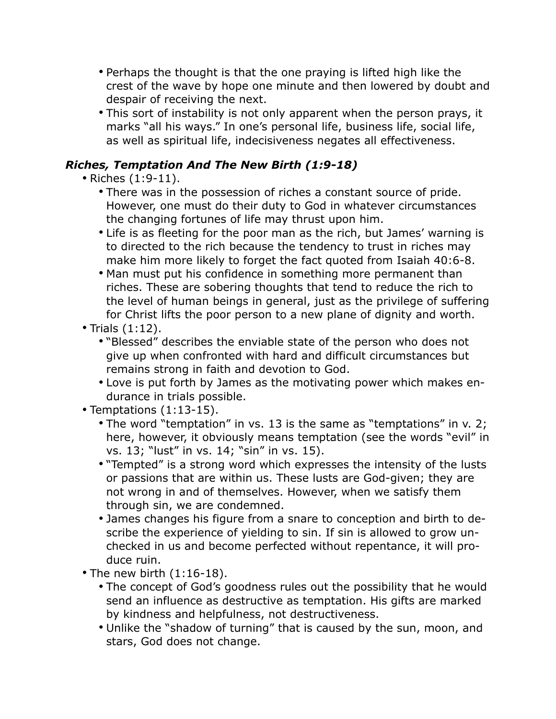- Perhaps the thought is that the one praying is lifted high like the crest of the wave by hope one minute and then lowered by doubt and despair of receiving the next.
- This sort of instability is not only apparent when the person prays, it marks "all his ways." In one's personal life, business life, social life, as well as spiritual life, indecisiveness negates all effectiveness.

#### *Riches, Temptation And The New Birth (1:9-18)*

• Riches (1:9-11).

- There was in the possession of riches a constant source of pride. However, one must do their duty to God in whatever circumstances the changing fortunes of life may thrust upon him.
- Life is as fleeting for the poor man as the rich, but James' warning is to directed to the rich because the tendency to trust in riches may make him more likely to forget the fact quoted from Isaiah 40:6-8.
- Man must put his confidence in something more permanent than riches. These are sobering thoughts that tend to reduce the rich to the level of human beings in general, just as the privilege of suffering for Christ lifts the poor person to a new plane of dignity and worth.
- Trials (1:12).
	- "Blessed" describes the enviable state of the person who does not give up when confronted with hard and difficult circumstances but remains strong in faith and devotion to God.
	- Love is put forth by James as the motivating power which makes endurance in trials possible.
- Temptations (1:13-15).
	- The word "temptation" in vs. 13 is the same as "temptations" in v. 2; here, however, it obviously means temptation (see the words "evil" in vs. 13; "lust" in vs. 14; "sin" in vs. 15).
	- "Tempted" is a strong word which expresses the intensity of the lusts or passions that are within us. These lusts are God-given; they are not wrong in and of themselves. However, when we satisfy them through sin, we are condemned.
	- James changes his figure from a snare to conception and birth to describe the experience of yielding to sin. If sin is allowed to grow unchecked in us and become perfected without repentance, it will produce ruin.
- The new birth (1:16-18).
	- The concept of God's goodness rules out the possibility that he would send an influence as destructive as temptation. His gifts are marked by kindness and helpfulness, not destructiveness.
	- Unlike the "shadow of turning" that is caused by the sun, moon, and stars, God does not change.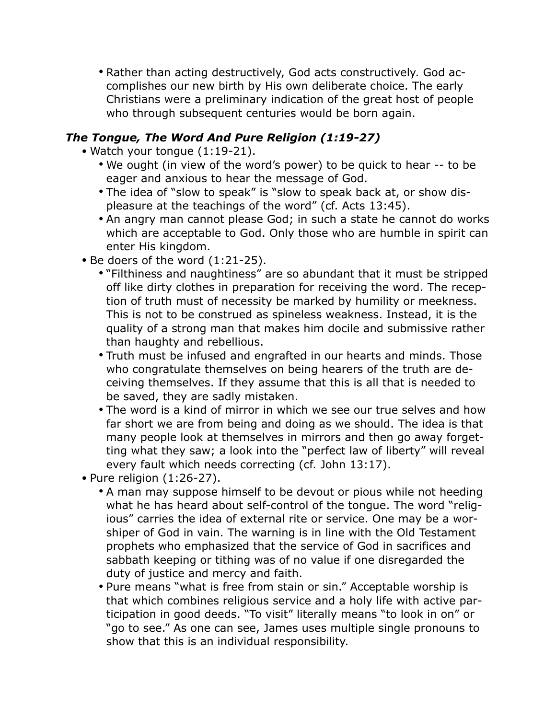• Rather than acting destructively, God acts constructively. God accomplishes our new birth by His own deliberate choice. The early Christians were a preliminary indication of the great host of people who through subsequent centuries would be born again.

#### *The Tongue, The Word And Pure Religion (1:19-27)*

- Watch your tongue (1:19-21).
	- We ought (in view of the word's power) to be quick to hear -- to be eager and anxious to hear the message of God.
	- The idea of "slow to speak" is "slow to speak back at, or show displeasure at the teachings of the word" (cf. Acts 13:45).
	- An angry man cannot please God; in such a state he cannot do works which are acceptable to God. Only those who are humble in spirit can enter His kingdom.
- Be doers of the word (1:21-25).
	- "Filthiness and naughtiness" are so abundant that it must be stripped off like dirty clothes in preparation for receiving the word. The reception of truth must of necessity be marked by humility or meekness. This is not to be construed as spineless weakness. Instead, it is the quality of a strong man that makes him docile and submissive rather than haughty and rebellious.
	- Truth must be infused and engrafted in our hearts and minds. Those who congratulate themselves on being hearers of the truth are deceiving themselves. If they assume that this is all that is needed to be saved, they are sadly mistaken.
	- The word is a kind of mirror in which we see our true selves and how far short we are from being and doing as we should. The idea is that many people look at themselves in mirrors and then go away forgetting what they saw; a look into the "perfect law of liberty" will reveal every fault which needs correcting (cf. John 13:17).
- Pure religion (1:26-27).
	- A man may suppose himself to be devout or pious while not heeding what he has heard about self-control of the tongue. The word "religious" carries the idea of external rite or service. One may be a worshiper of God in vain. The warning is in line with the Old Testament prophets who emphasized that the service of God in sacrifices and sabbath keeping or tithing was of no value if one disregarded the duty of justice and mercy and faith.
	- Pure means "what is free from stain or sin." Acceptable worship is that which combines religious service and a holy life with active participation in good deeds. "To visit" literally means "to look in on" or "go to see." As one can see, James uses multiple single pronouns to show that this is an individual responsibility.